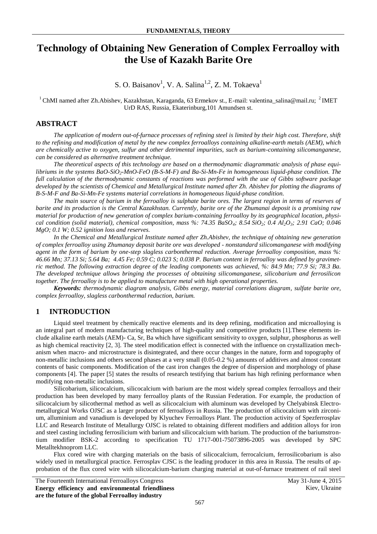# **Technology of Obtaining New Generation of Complex Ferroalloy with the Use of Kazakh Barite Ore**

S. O. Baisanov<sup>1</sup>, V. A. Salina<sup>1,2</sup>, Z. M. Tokaeva<sup>1</sup>

<sup>1</sup> ChMI named after Zh.Abishev, Kazakhstan, Karaganda, 63 Ermekov st., E-mail: valentina\_salina@mail.ru; <sup>2</sup> IMET UrD RAS, Russia, Ekaterinburg,101 Amundsen st.

## **ABSTRACT**

*The application of modern out-of-furnace processes of refining steel is limited by their high cost. Therefore, shift to the refining and modification of metal by the new complex ferroalloys containing alkaline-earth metals (AEM), which are chemically active to oxygen, sulfur and other detrimental impurities, such as barium-containing silicomanganese, can be considered as alternative treatment technique.*

*The theoretical aspects of this technology are based on a thermodynamic diagrammatic analysis of phase equilibriums in the systems BaO-SiO2-MnO-FeO (B-S-M-F) and Ba-Si-Mn-Fe in homogeneous liquid-phase condition. The full calculation of the thermodynamic constants of reactions was performed with the use of Gibbs software package developed by the scientists of Chemical and Metallurgical Institute named after Zh. Abishev for plotting the diagrams of B-S-M-F and Ba-Si-Mn-Fe systems material correlations in homogeneous liquid-phase condition.*

*The main source of barium in the ferroalloy is sulphate barite ores. The largest region in terms of reserves of barite and its production is the Central Kazakhstan. Currently, barite ore of the Zhumanai deposit is a promising raw material for production of new generation of complex barium-containing ferroalloy by its geographical location, physical condition (solid material), chemical composition, mass %: 74.35 BaSO4; 8.54 SiO2; 0.4 Al2O3; 2.91 CaO; 0.046 MgO; 0.1 W; 0.52 ignition loss and reserves.*

*In the Chemical and Metallurgical Institute named after Zh.Abishev, the technique of obtaining new generation of complex ferroalloy using Zhumanay deposit barite ore was developed - nonstandard silicomanganese with modifying agent in the form of barium by one-step slagless carbonthermal reduction. Average ferroalloy composition, mass %: 46.66 Mn; 37.13 Si; 5.64 Ba; 4.45 Fe; 0.59 C; 0.023 S; 0.038 P. Barium content in ferroalloy was defined by gravimetric method. The following extraction degree of the leading components was achieved, %: 84.9 Mn; 77.9 Si; 78.3 Ba. The developed technique allows bringing the processes of obtaining silicomanganese, silicobarium and ferrosilicon together. The ferroalloy is to be applied to manufacture metal with high operational properties.* 

*Keywords: thermodynamic diagram analysis, Gibbs energy, material correlations diagram, sulfate barite ore, complex ferroalloy, slagless carbonthermal reduction, barium.*

## **1 INTRODUCTION**

Liquid steel treatment by chemically reactive elements and its deep refining, modification and microalloying is an integral part of modern manufacturing techniques of high-quality and competitive products [1].These elements include alkaline earth metals (AEM)- Ca, Sr, Ba which have significant sensitivity to oxygen, sulphur, phosphorus as well as high chemical reactivity [2, 3]. The steel modification effect is connected with the influence on crystallization mechanism when macro- and microstructure is disintegrated, and there occur changes in the nature, form and topography of non-metallic inclusions and others second phases at a very small (0.05-0.2 %) amounts of additives and almost constant contents of basic components. Modification of the cast iron changes the degree of dispersion and morphology of phase components [4]. The paper [5] states the results of research testifying that barium has high refining performance when modifying non-metallic inclusions.

Silicobarium, silicocalcium, silicocalcium with barium are the most widely spread complex ferroalloys and their production has been developed by many ferroalloy plants of the Russian Federation. For example, the production of silicocalcium by silicothermal method as well as silicocalcium with aluminum was developed by Chelyabinsk Electrometallurgical Works OJSC as a larger producer of ferroalloys in Russia. The production of silicocalcium with zirconium, alluminium and vanadium is developed by Klyuchev Ferroalloys Plant. The production activity of Spezferrosplav LLC and Research Institute of Metallurgy OJSC is related to obtaining different modifiers and addition alloys for iron and steel casting including ferrosilicium with barium and silicocalcium with barium. The production of the bariumstrontium modifier BSK-2 according to specification TU 1717-001-75073896-2005 was developed by SPC Metalltekhnoprom LLC.

Flux cored wire with charging materials on the basis of silicocalcium, ferrocalcium, ferrosilicobarium is also widely used in metallurgical practice. Ferrosplav CJSC is the leading producer in this area in Russia. The results of approbation of the flux cored wire with silicocalcium-barium charging material at out-of-furnace treatment of rail steel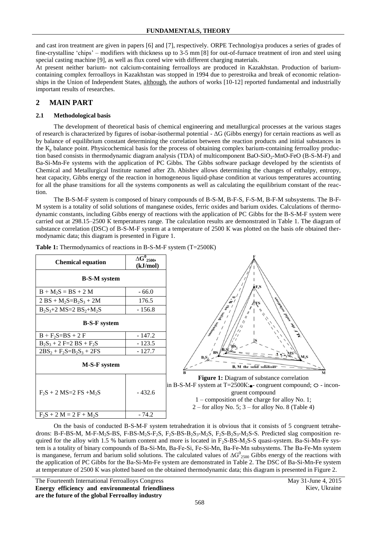and cast iron treatment are given in papers [6] and [7], respectively. ORPE Technologiya produces a series of grades of fine-crystalline 'chips' – modifiers with thickness up to 3-5 mm [8] for out-of-furnace treatment of iron and steel using special casting machine [9], as well as flux cored wire with different charging materials.

At present neither barium- not calcium-containing ferroalloys are produced in Kazakhstan. Production of bariumcontaining complex ferroalloys in Kazakhstan was stopped in 1994 due to perestroika and break of economic relationships in the Union of Independent States, [although,](file:///C:/Users/Пользователь/AppData/Local/Temp/Word_0) the authors of works [10-12] reported fundamental and industrially important results of researches.

# **2 MAIN PART**

### **2.1 Methodological basis**

The development of theoretical basis of chemical engineering and metallurgical processes at the various stages of research is characterized by figures of isobar-isothermal potential - ΔG (Gibbs energy) for certain reactions as well as by balance of equilibrium constant determining the correlation between the reaction products and initial substances in the  $K_p$  balance point. Physicochemical basis for the process of obtaining complex barium-containing ferroalloy production based consists in thermodynamic diagram analysis (TDA) of multicomponent BaO-SiO<sub>2</sub>-MnO-FeO (B-S-M-F) and Ba-Si-Mn-Fe systems with the application of PC Gibbs. The Gibbs software package developed by the scientists of Chemical and Metallurgical Institute named after Zh. Abishev allows determining the changes of enthalpy, entropy, heat capacity, Gibbs energy of the reaction in homogeneous liquid-phase condition at various temperatures accounting for all the phase transitions for all the systems components as well as calculating the equilibrium constant of the reaction.

The B-S-M-F system is composed of binary compounds of B-S-M, B-F-S, F-S-M, В-F-M subsystems. The В-F-M system is a totality of solid solutions of manganese oxides, ferric oxides and barium oxides. Calculations of thermodynamic constants, including Gibbs energy of reactions with the application of PC Gibbs for the B-S-M-F system were carried out at 298.15–2500 К temperatures range. The calculation results are demonstrated in Table 1. The diagram of substance correlation (DSC) of B-S-M-F system at a temperature of 2500 К was plotted on the basis ofe obtained thermodynamic data; this diagram is presented in Figure 1.

| <b>Chemical equation</b>      | $\overline{\Delta\mathbf{G}^0}_{2500},$<br>(kJ/mol) |                                                                                                                                                                                                                                                             |
|-------------------------------|-----------------------------------------------------|-------------------------------------------------------------------------------------------------------------------------------------------------------------------------------------------------------------------------------------------------------------|
| <b>B-S-M</b> system           |                                                     |                                                                                                                                                                                                                                                             |
| $B + M_2S = BS + 2M$          | $-66.0$                                             | $E_2S$                                                                                                                                                                                                                                                      |
| $2 BS + M_2S = B_2S_3 + 2M$   | 176.5                                               | $\ddot{\tilde{\sigma}}^{\pi}$<br>Eugine S<br>Afs                                                                                                                                                                                                            |
| $B_2S_3+2$ MS=2 $BS_2+M_2S$   | $-156.8$                                            | $\tilde{\varepsilon}$                                                                                                                                                                                                                                       |
| <b>B-S-F</b> system           |                                                     | <b>Angles</b> British<br>هجاني<br>$\mathcal{M}^{\mathbf{f}} \stackrel{\mathbf{f}}{=}$                                                                                                                                                                       |
| $B + F_2S = BS + 2F$          | - 147.2                                             |                                                                                                                                                                                                                                                             |
| $B_2S_3 + 2 F=2 BS + F_2S$    | $-123.5$                                            |                                                                                                                                                                                                                                                             |
| $2BS_2 + F_2S = B_2S_3 + 2FS$ | $-127.7$                                            |                                                                                                                                                                                                                                                             |
| <b>M-S-F</b> system           |                                                     | $B_2S$<br>B, M the solid solutions                                                                                                                                                                                                                          |
| $F_2S + 2 MS = 2 FS + M_2S$   | - 432.6                                             | Figure 1: Diagram of substance correlation<br>in B-S-M-F system at T=2500K: $\bullet$ - congruent compound; $\circ$ - incon-<br>gruent compound<br>$1$ – composition of the charge for alloy No. 1;<br>$2$ – for alloy No. 5; 3 – for alloy No. 8 (Table 4) |
| $F_2S + 2 M = 2 F + M_2S$     | $-74.2$                                             |                                                                                                                                                                                                                                                             |

**Table 1:** Thermodynamics of reactions in B-S-M-F system (T=2500K)

On the basis of conducted B-S-M-F system tetrahedration it is obvious that it consists of 5 congruent tetrahedrons: B-F-BS-M, M-F-M<sub>2</sub>S-BS, F-BS-M<sub>2</sub>S-F<sub>2</sub>S, F<sub>2</sub>S-BS-B<sub>2</sub>S<sub>3</sub>-M<sub>2</sub>S, F<sub>2</sub>S-B<sub>2</sub>S<sub>3</sub>-M<sub>2</sub>S-S. Predicted slag composition required for the alloy with 1.5 % barium content and more is located in  $F_2S-BS-M_2S-S$  quasi-system. Ba-Si-Mn-Fe system is a totality of binary compounds of Bа-Si-Mn, Bа-Fе-Si, Fе-Si-Mn, Ва-Fe-Mn subsystems. The Ва-Fe-Mn system is manganese, ferrum and barium solid solutions. The calculated values of  $\Delta G^0_{2500}$  Gibbs energy of the reactions with the application of PC Gibbs for the Bа-Si-Mn-Fe system are demonstrated in Table 2. The DSC of Ba-Si-Mn-Fe system at temperature of 2500 К was plotted based on the obtained thermodynamic data; this diagram is presented in Figure 2.

The Fourteenth International Ferroalloys Congress May 31-June 4, 2015 **Energy efficiency and environmental friendliness are the future of the global Ferroalloy industry**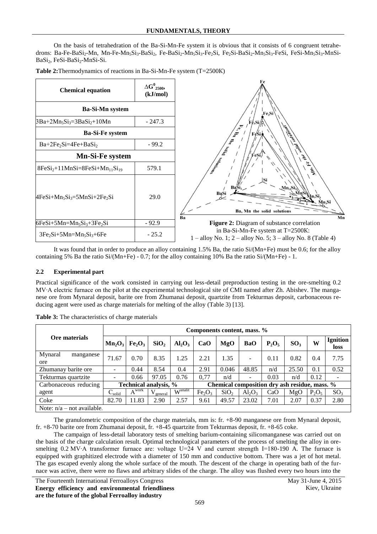On the basis of tetrahedration of the Ba-Si-Mn-Fe system it is obvious that it consists of 6 congruent tetrahedrons: Ba-Fe-BaSi<sub>2</sub>-Mn, Mn-Fe-Mn<sub>5</sub>Si<sub>3</sub>-BaSi<sub>2</sub>, Fe-BaSi<sub>2</sub>-Mn<sub>5</sub>Si<sub>3</sub>-Fe<sub>2</sub>Si, Fe<sub>2</sub>Si-BaSi<sub>2</sub>-Mn<sub>5</sub>Si<sub>3</sub>-FeSi, FeSi-Mn<sub>5</sub>Si<sub>3</sub>-MnSi<sub>2</sub> BaSi<sub>2</sub>, FeSi-BaSi<sub>2</sub>-MnSi-Si.

| <b>Chemical equation</b>                                              | $\Delta G^0_{2500}$<br>(kJ/mol) |                                                                                                                      |
|-----------------------------------------------------------------------|---------------------------------|----------------------------------------------------------------------------------------------------------------------|
| <b>Ba-Si-Mn system</b>                                                |                                 | Fe <sub>2</sub> Si                                                                                                   |
| $\beta$ Ba+2Mn <sub>5</sub> Si <sub>3</sub> =3BaSi <sub>2</sub> +10Mn | - 247.3                         |                                                                                                                      |
| <b>Ba-Si-Fe system</b>                                                |                                 | 1409.21                                                                                                              |
| $Ba+2Fe2Si=4Fe+BaSi2$                                                 | $-99.2$                         |                                                                                                                      |
| Mn-Si-Fe system                                                       |                                 | FeSí,                                                                                                                |
| $8FeSi2+11MnSi=8FeSi+Mn11Si19$                                        | 579.1                           | <b>CONTRACTOR SERVICE SERVICE SERVICE SERVICE SERVICE SERVICE SERVICE SERVICE SERVICE SERVICE SERVICE SERVICE SE</b> |
| $4FeSi+Mn_5Si_3=5MnSi+2Fe_2Si$                                        | 29.0                            | BaS<br>BaS<br>Ba, Mn the solid solutions<br>Ba<br>Mn                                                                 |
| $6FeSi+5Mn=Mn_5Si_3+3Fe_2Si$                                          | $-92.9$                         | Figure 2: Diagram of substance correlation                                                                           |
| $3Fe_2Si+5Mn=Mn_5Si_3+6Fe$                                            | $-25.2$                         | in Ba-Si-Mn-Fe system at $T=2500K$ :<br>$1 -$ alloy No. 1; $2 -$ alloy No. 5; $3 -$ alloy No. 8 (Table 4)            |

**Table 2:**Thermodynamics of reactions in Ba-Si-Mn-Fe system (Т=2500К)

It was found that in order to produce an alloy containing 1.5% Ba, the ratio Si/(Mn+Fe) must be 0.6; for the alloy containing 5% Ba the ratio  $Si/(Mn+Fe) - 0.7$ ; for the alloy containing 10% Ba the ratio  $Si/(Mn+Fe) - 1$ .

#### **2.2 Experimental part**

Practical significance of the work consisted in carrying out less-detail preproduction testing in the ore-smelting 0.2 MV∙A electric furnace on the pilot at the experimental technological site of CMI named after Zh. Abishev. The manganese ore from Mynaral deposit, barite ore from Zhumanai deposit, quartzite from Tekturmas deposit, carbonaceous reducing agent were used as charge materials for melting of the alloy (Table 3) [13].

|                              | Components content, mass. % |                                |                  |           |                                |                  |                                               |          |                 |          |                         |
|------------------------------|-----------------------------|--------------------------------|------------------|-----------|--------------------------------|------------------|-----------------------------------------------|----------|-----------------|----------|-------------------------|
| Ore materials                | $Mn_2O_3$                   | Fe <sub>2</sub> O <sub>3</sub> | SiO <sub>2</sub> | $Al_2O_3$ | CaO                            | MgO              | BaO                                           | $P_2O_5$ | SO <sub>3</sub> | W        | <b>Ignition</b><br>loss |
| Mynaral<br>manganese<br>ore  | 71.67                       | 0.70                           | 8.35             | 1.25      | 2.21                           | 1.35             |                                               | 0.11     | 0.82            | 0.4      | 7.75                    |
| Zhumanay barite ore          |                             | 0.44                           | 8.54             | 0.4       | 2.91                           | 0.046            | 48.85                                         | n/d      | 25.50           | 0.1      | 0.52                    |
| Tekturmas quartzite          |                             | 0.66                           | 97.05            | 0.76      | 0.77                           | n/d              | -                                             | 0.03     | n/d             | 0.12     |                         |
| Carbonaceous reducing        | Technical analysis, %       |                                |                  |           |                                |                  | Chemical composition dry ash residue, mass. % |          |                 |          |                         |
| agent                        | $C_{\rm solid}$             | $A^{\overline{\text{work}}}$   | ' general        | Wanalit   | Fe <sub>2</sub> O <sub>3</sub> | SiO <sub>2</sub> | $Al_2O_3$                                     | CaO      | MgO             | $P_2O_5$ | SO <sub>3</sub>         |
| Coke                         | 82.70                       | 11.83                          | 2.90             | 2.57      | 9.61                           | 49.57            | 23.02                                         | 7.01     | 2.07            | 0.37     | 2.80                    |
| Note: $n/a$ – not available. |                             |                                |                  |           |                                |                  |                                               |          |                 |          |                         |

**Table 3:** The characteristics of charge materials

The granulometric composition of the charge materials, mm is: fr. +8-90 manganese ore from Mynaral deposit, fr. +8-70 barite ore from Zhumanai deposit, fr. +8-45 quartzite from Tekturmas deposit, fr. +8-65 coke.

The campaign of less-detail laboratory tests of smelting barium-containing silicomanganese was carried out on the basis of the charge calculation result. Optimal technological parameters of the process of smelting the alloy in oresmelting 0.2 MV⋅A transformer furnace are: voltage U=24 V and current strength I=180-190 A. The furnace is equipped with graphitized electrode with a diameter of 150 mm and conductive bottom. There was a jet of hot metal. The gas escaped evenly along the whole surface of the mouth. The descent of the charge in operating bath of the furnace was active, there were no flaws and arbitrary slides of the charge. The alloy was flushed every two hours into the

The Fourteenth International Ferroalloys Congress May 31-June 4, 2015 **Energy efficiency and environmental friendliness are the future of the global Ferroalloy industry**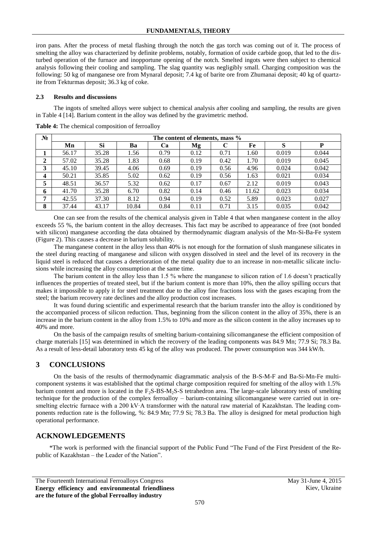iron pans. After the process of metal flashing through the notch the gas torch was coming out of it. The process of smelting the alloy was characterized by definite problems, notably, formation of oxide carbide goop, that led to the disturbed operation of the furnace and inopportune opening of the notch. Smelted ingots were then subject to chemical analysis following their cooling and sampling. The slag quantity was negligibly small. Charging composition was the following: 50 kg of manganese ore from Mynaral deposit; 7.4 kg of barite ore from Zhumanai deposit; 40 kg of quartzite from Tekturmas deposit; 36.3 kg of coke.

#### **2.3 Results and discussions**

The ingots of smelted alloys were subject to chemical analysis after cooling and sampling, the results are given in Table 4 [14]. Barium content in the alloy was defined by the gravimetric method.

| $N_2$          |       | The content of elements, mass % |       |      |      |      |       |                   |       |  |  |
|----------------|-------|---------------------------------|-------|------|------|------|-------|-------------------|-------|--|--|
|                | Mn    | Si                              | Ba    | Ca   | Mg   |      | Fe    | $\mathbf{C}$<br>O | D     |  |  |
|                | 56.17 | 35.28                           | 1.56  | 0.79 | 0.12 | 0.71 | 1.60  | 0.019             | 0.044 |  |  |
| 2              | 57.02 | 35.28                           | 1.83  | 0.68 | 0.19 | 0.42 | 1.70  | 0.019             | 0.045 |  |  |
| 3              | 45.10 | 39.45                           | 4.06  | 0.69 | 0.19 | 0.56 | 4.96  | 0.024             | 0.042 |  |  |
| $\overline{4}$ | 50.21 | 35.85                           | 5.02  | 0.62 | 0.19 | 0.56 | 1.63  | 0.021             | 0.034 |  |  |
| 5              | 48.51 | 36.57                           | 5.32  | 0.62 | 0.17 | 0.67 | 2.12  | 0.019             | 0.043 |  |  |
| 6              | 41.70 | 35.28                           | 6.70  | 0.82 | 0.14 | 0.46 | 11.62 | 0.023             | 0.034 |  |  |
| ₹              | 42.55 | 37.30                           | 8.12  | 0.94 | 0.19 | 0.52 | 5.89  | 0.023             | 0.027 |  |  |
| 8              | 37.44 | 43.17                           | 10.84 | 0.84 | 0.11 | 0.71 | 3.15  | 0.035             | 0.042 |  |  |

**Table 4:** The chemical composition of ferroalloy

One can see from the results of the chemical analysis given in Table 4 that when manganese content in the alloy exceeds 55 %, the barium content in the alloy decreases. This fact may be ascribed to appearance of free (not bonded with silicon) manganese according the data obtained by thermodynamic diagram analysis of the Mn-Si-Ba-Fe system (Figure 2). This causes a decrease in barium solubility.

The manganese content in the alloy less than 40% is not enough for the formation of slush manganese silicates in the steel during reacting of manganese and silicon with oxygen dissolved in steel and the level of its recovery in the liquid steel is reduced that causes a deterioration of the metal quality due to an increase in non-metallic silicate inclusions while increasing the alloy consumption at the same time.

The barium content in the alloy less than 1.5 % where the manganese to silicon ration of 1.6 doesn't practically influences the properties of treated steel, but if the barium content is more than 10%, then the alloy spilling occurs that makes it impossible to apply it for steel treatment due to the alloy fine fractions loss with the gases escaping from the steel; the barium recovery rate declines and the alloy production cost increases.

It was found during scientific and experimental research that the barium transfer into the alloy is conditioned by the accompanied process of silicon reduction. Thus, beginning from the silicon content in the alloy of 35%, there is an increase in the barium content in the alloy from 1.5% to 10% and more as the silicon content in the alloy increases up to 40% and more.

On the basis of the campaign results of smelting barium-containing silicomanganese the efficient composition of charge materials [15] was determined in which the recovery of the leading components was 84.9 Mn; 77.9 Si; 78.3 Ba. As a result of less-detail laboratory tests 45 kg of the alloy was produced. The power consumption was 344 kW/h.

## **3 CONCLUSIONS**

On the basis of the results of thermodynamic diagrammatic analysis of the В-S-M-F and Ba-Si-Mn-Fe multicomponent systems it was established that the optimal charge composition required for smelting of the alloy with 1.5% barium content and more is located in the F2S-BS-M2S-S tetrahedron area. The large-scale laboratory tests of smelting technique for the production of the complex ferroalloy – barium-containing silicomanganese were carried out in oresmelting electric furnace with a 200 kV⋅A transformer with the natural raw material of Kazakhstan. The leading components reduction rate is the following, %: 84.9 Mn; 77.9 Si; 78.3 Ba. The alloy is designed for metal production high operational performance.

## **ACKNOWLEDGEMENTS**

\*The work is performed with the financial support of the Public Fund "The Fund of the First President of the Republic of Kazakhstan – the Leader of the Nation".

The Fourteenth International Ferroalloys Congress May 31-June 4, 2015 **Energy efficiency and environmental friendliness are the future of the global Ferroalloy industry**